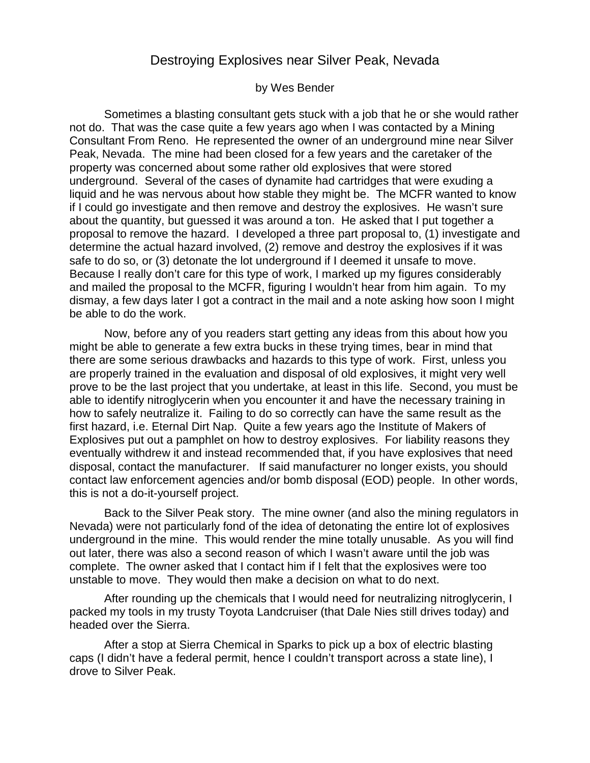## Destroying Explosives near Silver Peak, Nevada

## by Wes Bender

Sometimes a blasting consultant gets stuck with a job that he or she would rather not do. That was the case quite a few years ago when I was contacted by a Mining Consultant From Reno. He represented the owner of an underground mine near Silver Peak, Nevada. The mine had been closed for a few years and the caretaker of the property was concerned about some rather old explosives that were stored underground. Several of the cases of dynamite had cartridges that were exuding a liquid and he was nervous about how stable they might be. The MCFR wanted to know if I could go investigate and then remove and destroy the explosives. He wasn't sure about the quantity, but guessed it was around a ton. He asked that I put together a proposal to remove the hazard. I developed a three part proposal to, (1) investigate and determine the actual hazard involved, (2) remove and destroy the explosives if it was safe to do so, or (3) detonate the lot underground if I deemed it unsafe to move. Because I really don't care for this type of work, I marked up my figures considerably and mailed the proposal to the MCFR, figuring I wouldn't hear from him again. To my dismay, a few days later I got a contract in the mail and a note asking how soon I might be able to do the work.

Now, before any of you readers start getting any ideas from this about how you might be able to generate a few extra bucks in these trying times, bear in mind that there are some serious drawbacks and hazards to this type of work. First, unless you are properly trained in the evaluation and disposal of old explosives, it might very well prove to be the last project that you undertake, at least in this life. Second, you must be able to identify nitroglycerin when you encounter it and have the necessary training in how to safely neutralize it. Failing to do so correctly can have the same result as the first hazard, i.e. Eternal Dirt Nap. Quite a few years ago the Institute of Makers of Explosives put out a pamphlet on how to destroy explosives. For liability reasons they eventually withdrew it and instead recommended that, if you have explosives that need disposal, contact the manufacturer. If said manufacturer no longer exists, you should contact law enforcement agencies and/or bomb disposal (EOD) people. In other words, this is not a do-it-yourself project.

Back to the Silver Peak story. The mine owner (and also the mining regulators in Nevada) were not particularly fond of the idea of detonating the entire lot of explosives underground in the mine. This would render the mine totally unusable. As you will find out later, there was also a second reason of which I wasn't aware until the job was complete. The owner asked that I contact him if I felt that the explosives were too unstable to move. They would then make a decision on what to do next.

After rounding up the chemicals that I would need for neutralizing nitroglycerin, I packed my tools in my trusty Toyota Landcruiser (that Dale Nies still drives today) and headed over the Sierra.

After a stop at Sierra Chemical in Sparks to pick up a box of electric blasting caps (I didn't have a federal permit, hence I couldn't transport across a state line), I drove to Silver Peak.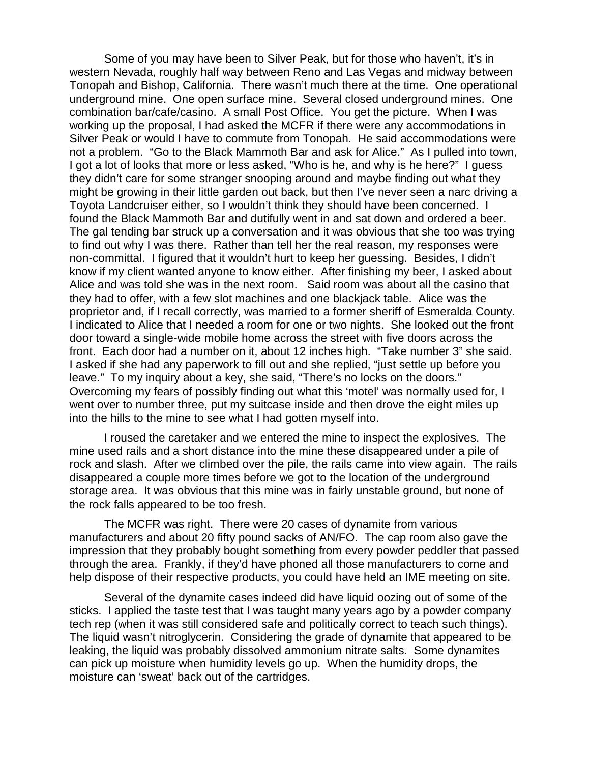Some of you may have been to Silver Peak, but for those who haven't, it's in western Nevada, roughly half way between Reno and Las Vegas and midway between Tonopah and Bishop, California. There wasn't much there at the time. One operational underground mine. One open surface mine. Several closed underground mines. One combination bar/cafe/casino. A small Post Office. You get the picture. When I was working up the proposal, I had asked the MCFR if there were any accommodations in Silver Peak or would I have to commute from Tonopah. He said accommodations were not a problem. "Go to the Black Mammoth Bar and ask for Alice." As I pulled into town, I got a lot of looks that more or less asked, "Who is he, and why is he here?" I guess they didn't care for some stranger snooping around and maybe finding out what they might be growing in their little garden out back, but then I've never seen a narc driving a Toyota Landcruiser either, so I wouldn't think they should have been concerned. I found the Black Mammoth Bar and dutifully went in and sat down and ordered a beer. The gal tending bar struck up a conversation and it was obvious that she too was trying to find out why I was there. Rather than tell her the real reason, my responses were non-committal. I figured that it wouldn't hurt to keep her guessing. Besides, I didn't know if my client wanted anyone to know either. After finishing my beer, I asked about Alice and was told she was in the next room. Said room was about all the casino that they had to offer, with a few slot machines and one blackjack table. Alice was the proprietor and, if I recall correctly, was married to a former sheriff of Esmeralda County. I indicated to Alice that I needed a room for one or two nights. She looked out the front door toward a single-wide mobile home across the street with five doors across the front. Each door had a number on it, about 12 inches high. "Take number 3" she said. I asked if she had any paperwork to fill out and she replied, "just settle up before you leave." To my inquiry about a key, she said, "There's no locks on the doors." Overcoming my fears of possibly finding out what this 'motel' was normally used for, I went over to number three, put my suitcase inside and then drove the eight miles up into the hills to the mine to see what I had gotten myself into.

I roused the caretaker and we entered the mine to inspect the explosives. The mine used rails and a short distance into the mine these disappeared under a pile of rock and slash. After we climbed over the pile, the rails came into view again. The rails disappeared a couple more times before we got to the location of the underground storage area. It was obvious that this mine was in fairly unstable ground, but none of the rock falls appeared to be too fresh.

The MCFR was right. There were 20 cases of dynamite from various manufacturers and about 20 fifty pound sacks of AN/FO. The cap room also gave the impression that they probably bought something from every powder peddler that passed through the area. Frankly, if they'd have phoned all those manufacturers to come and help dispose of their respective products, you could have held an IME meeting on site.

Several of the dynamite cases indeed did have liquid oozing out of some of the sticks. I applied the taste test that I was taught many years ago by a powder company tech rep (when it was still considered safe and politically correct to teach such things). The liquid wasn't nitroglycerin. Considering the grade of dynamite that appeared to be leaking, the liquid was probably dissolved ammonium nitrate salts. Some dynamites can pick up moisture when humidity levels go up. When the humidity drops, the moisture can 'sweat' back out of the cartridges.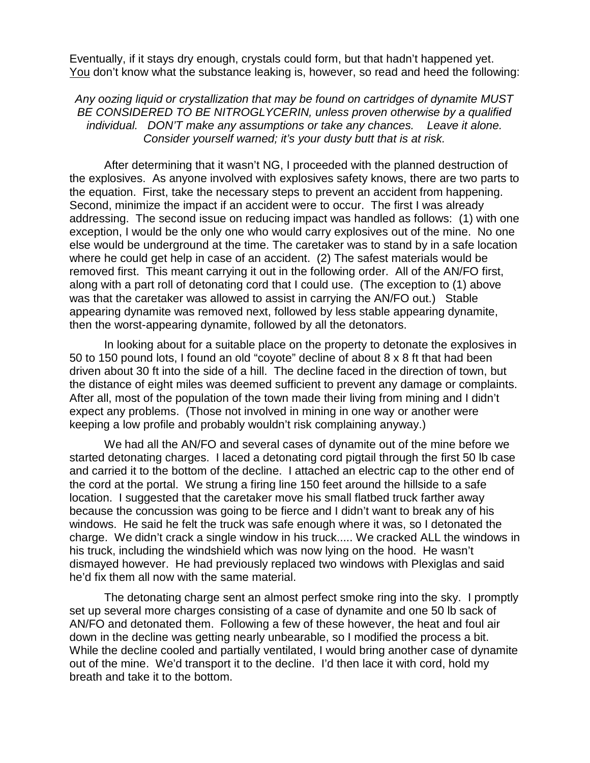Eventually, if it stays dry enough, crystals could form, but that hadn't happened yet. You don't know what the substance leaking is, however, so read and heed the following:

Any oozing liquid or crystallization that may be found on cartridges of dynamite MUST BE CONSIDERED TO BE NITROGLYCERIN, unless proven otherwise by a qualified individual. DON'T make any assumptions or take any chances. Leave it alone. Consider yourself warned; it's your dusty butt that is at risk.

After determining that it wasn't NG, I proceeded with the planned destruction of the explosives. As anyone involved with explosives safety knows, there are two parts to the equation. First, take the necessary steps to prevent an accident from happening. Second, minimize the impact if an accident were to occur. The first I was already addressing. The second issue on reducing impact was handled as follows: (1) with one exception, I would be the only one who would carry explosives out of the mine. No one else would be underground at the time. The caretaker was to stand by in a safe location where he could get help in case of an accident. (2) The safest materials would be removed first. This meant carrying it out in the following order. All of the AN/FO first, along with a part roll of detonating cord that I could use. (The exception to (1) above was that the caretaker was allowed to assist in carrying the AN/FO out.) Stable appearing dynamite was removed next, followed by less stable appearing dynamite, then the worst-appearing dynamite, followed by all the detonators.

In looking about for a suitable place on the property to detonate the explosives in 50 to 150 pound lots, I found an old "coyote" decline of about 8 x 8 ft that had been driven about 30 ft into the side of a hill. The decline faced in the direction of town, but the distance of eight miles was deemed sufficient to prevent any damage or complaints. After all, most of the population of the town made their living from mining and I didn't expect any problems. (Those not involved in mining in one way or another were keeping a low profile and probably wouldn't risk complaining anyway.)

We had all the AN/FO and several cases of dynamite out of the mine before we started detonating charges. I laced a detonating cord pigtail through the first 50 lb case and carried it to the bottom of the decline. I attached an electric cap to the other end of the cord at the portal. We strung a firing line 150 feet around the hillside to a safe location. I suggested that the caretaker move his small flatbed truck farther away because the concussion was going to be fierce and I didn't want to break any of his windows. He said he felt the truck was safe enough where it was, so I detonated the charge. We didn't crack a single window in his truck..... We cracked ALL the windows in his truck, including the windshield which was now lying on the hood. He wasn't dismayed however. He had previously replaced two windows with Plexiglas and said he'd fix them all now with the same material.

The detonating charge sent an almost perfect smoke ring into the sky. I promptly set up several more charges consisting of a case of dynamite and one 50 lb sack of AN/FO and detonated them. Following a few of these however, the heat and foul air down in the decline was getting nearly unbearable, so I modified the process a bit. While the decline cooled and partially ventilated, I would bring another case of dynamite out of the mine. We'd transport it to the decline. I'd then lace it with cord, hold my breath and take it to the bottom.